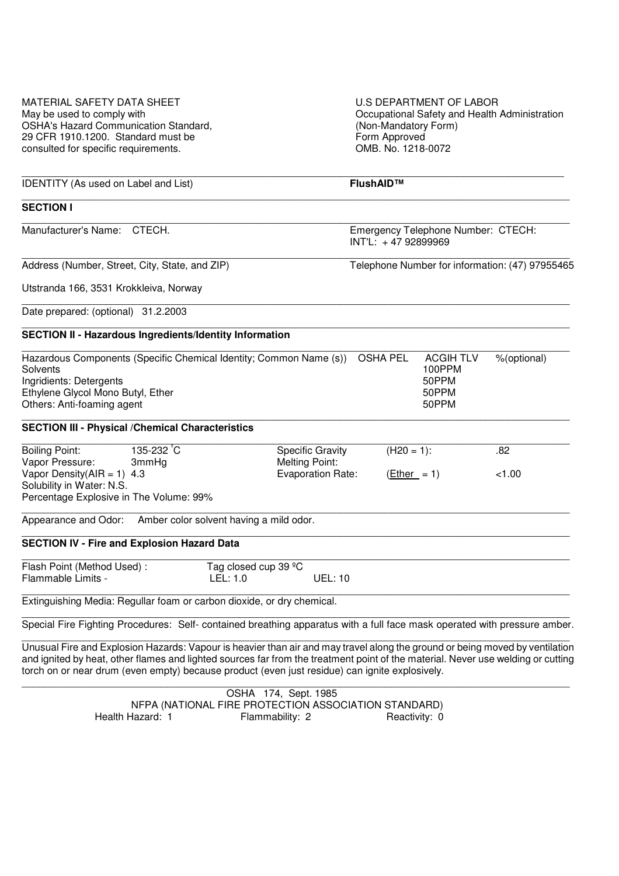| <b>MATERIAL SAFETY DATA SHEET</b>                                                                                         |                                         |                      |                          | <b>U.S DEPARTMENT OF LABOR</b>                            |                  |             |  |
|---------------------------------------------------------------------------------------------------------------------------|-----------------------------------------|----------------------|--------------------------|-----------------------------------------------------------|------------------|-------------|--|
| May be used to comply with                                                                                                |                                         |                      |                          | Occupational Safety and Health Administration             |                  |             |  |
| <b>OSHA's Hazard Communication Standard,</b>                                                                              |                                         |                      |                          | (Non-Mandatory Form)                                      |                  |             |  |
| 29 CFR 1910.1200. Standard must be                                                                                        |                                         |                      |                          | Form Approved                                             |                  |             |  |
| consulted for specific requirements.                                                                                      |                                         |                      |                          | OMB. No. 1218-0072                                        |                  |             |  |
|                                                                                                                           |                                         |                      |                          |                                                           |                  |             |  |
| <b>IDENTITY</b> (As used on Label and List)                                                                               |                                         |                      |                          | FlushAID™                                                 |                  |             |  |
| <b>SECTION I</b>                                                                                                          |                                         |                      |                          |                                                           |                  |             |  |
| Manufacturer's Name: CTECH.                                                                                               |                                         |                      |                          | Emergency Telephone Number: CTECH:<br>INT'L: +47 92899969 |                  |             |  |
| Address (Number, Street, City, State, and ZIP)                                                                            |                                         |                      |                          | Telephone Number for information: (47) 97955465           |                  |             |  |
| Utstranda 166, 3531 Krokkleiva, Norway                                                                                    |                                         |                      |                          |                                                           |                  |             |  |
| Date prepared: (optional) 31.2.2003                                                                                       |                                         |                      |                          |                                                           |                  |             |  |
| <b>SECTION II - Hazardous Ingredients/Identity Information</b>                                                            |                                         |                      |                          |                                                           |                  |             |  |
| Hazardous Components (Specific Chemical Identity; Common Name (s))                                                        |                                         |                      |                          | <b>OSHA PEL</b>                                           | <b>ACGIH TLV</b> | %(optional) |  |
| Solvents                                                                                                                  |                                         |                      |                          |                                                           | 100PPM           |             |  |
| Ingridients: Detergents                                                                                                   |                                         |                      |                          |                                                           | 50PPM            |             |  |
| Ethylene Glycol Mono Butyl, Ether                                                                                         |                                         |                      |                          |                                                           | 50PPM            |             |  |
| Others: Anti-foaming agent                                                                                                |                                         |                      |                          |                                                           | 50PPM            |             |  |
| <b>SECTION III - Physical / Chemical Characteristics</b>                                                                  |                                         |                      |                          |                                                           |                  |             |  |
| <b>Boiling Point:</b>                                                                                                     | 135-232 °C                              |                      | <b>Specific Gravity</b>  | $(H20 = 1):$                                              |                  | .82         |  |
| Vapor Pressure:                                                                                                           | 3mmHg                                   |                      | <b>Melting Point:</b>    |                                                           |                  |             |  |
| Vapor Density( $AIR = 1$ ) 4.3                                                                                            |                                         |                      | <b>Evaporation Rate:</b> | $(Ether = 1)$                                             |                  | < 1.00      |  |
| Solubility in Water: N.S.                                                                                                 |                                         |                      |                          |                                                           |                  |             |  |
| Percentage Explosive in The Volume: 99%                                                                                   |                                         |                      |                          |                                                           |                  |             |  |
| Appearance and Odor:                                                                                                      | Amber color solvent having a mild odor. |                      |                          |                                                           |                  |             |  |
| <b>SECTION IV - Fire and Explosion Hazard Data</b>                                                                        |                                         |                      |                          |                                                           |                  |             |  |
| Flash Point (Method Used):                                                                                                |                                         | Tag closed cup 39 °C |                          |                                                           |                  |             |  |
| Flammable Limits -                                                                                                        |                                         | LEL: 1.0             | <b>UEL: 10</b>           |                                                           |                  |             |  |
| Extinguishing Media: Regullar foam or carbon dioxide, or dry chemical.                                                    |                                         |                      |                          |                                                           |                  |             |  |
| Special Fire Fighting Procedures: Self- contained breathing apparatus with a full face mask operated with pressure amber. |                                         |                      |                          |                                                           |                  |             |  |
| Unuqual Fire and Evalopian Ucrardo Vanour is beguing than air and moutrough along the ground ar being mound buygetilation |                                         |                      |                          |                                                           |                  |             |  |

Unusual Fire and Explosion Hazards: Vapour is heavier than air and may travel along the ground or being moved by ventilation and ignited by heat, other flames and lighted sources far from the treatment point of the material. Never use welding or cutting torch on or near drum (even empty) because product (even just residue) can ignite explosively.

 $\Box$  OSHA 174, Sept. 1985 NFPA (NATIONAL FIRE PROTECTION ASSOCIATION STANDARD) Health Hazard: 1 Flammability: 2 Reactivity: 0